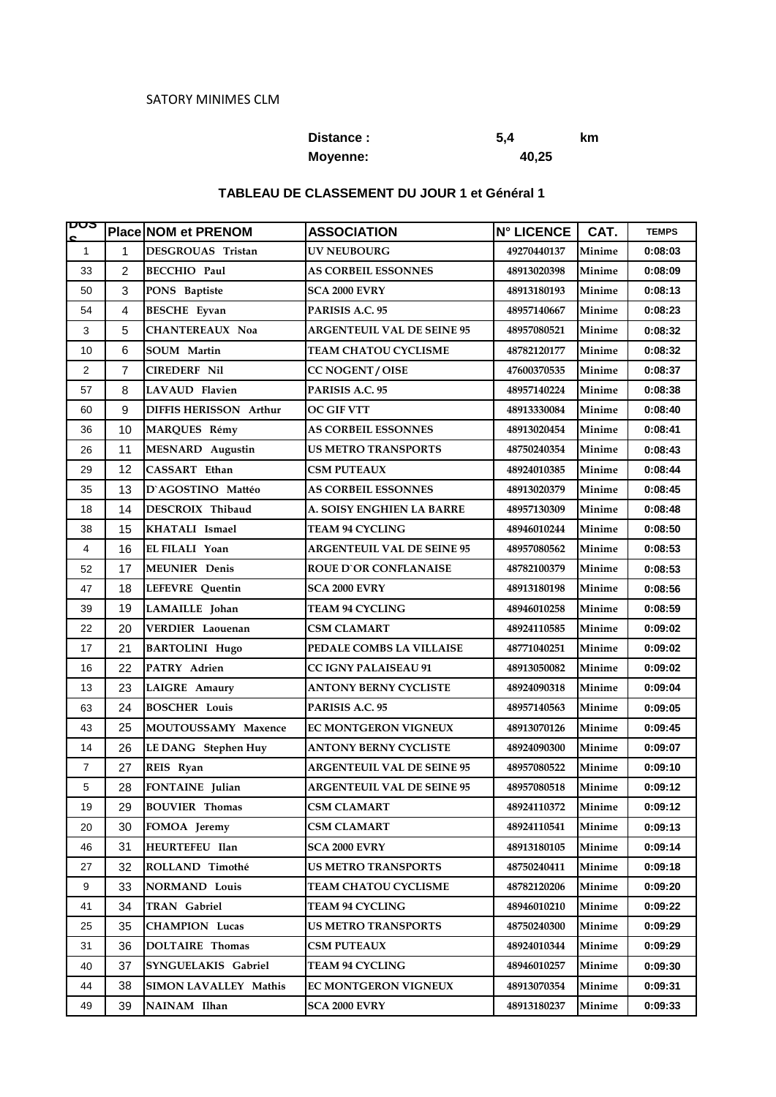## **Distance : 5,4 km Moyenne: 40,25**

### **TABLEAU DE CLASSEMENT DU JOUR 1 et Général 1**

| ाण्ण<br>c      |                | Place NOM et PRENOM          | <b>ASSOCIATION</b>                | <b>N° LICENCE</b> | CAT.   | <b>TEMPS</b> |
|----------------|----------------|------------------------------|-----------------------------------|-------------------|--------|--------------|
| $\mathbf{1}$   | 1              | DESGROUAS Tristan            | <b>UV NEUBOURG</b>                | 49270440137       | Minime | 0:08:03      |
| 33             | $\overline{2}$ | <b>BECCHIO Paul</b>          | <b>AS CORBEIL ESSONNES</b>        | 48913020398       | Minime | 0:08:09      |
| 50             | 3              | PONS Baptiste                | <b>SCA 2000 EVRY</b>              | 48913180193       | Minime | 0:08:13      |
| 54             | $\overline{4}$ | <b>BESCHE</b> Eyvan          | PARISIS A.C. 95                   | 48957140667       | Minime | 0:08:23      |
| 3              | 5              | <b>CHANTEREAUX Noa</b>       | <b>ARGENTEUIL VAL DE SEINE 95</b> | 48957080521       | Minime | 0:08:32      |
| 10             | 6              | SOUM Martin                  | TEAM CHATOU CYCLISME              | 48782120177       | Minime | 0:08:32      |
| $\overline{c}$ | 7              | <b>CIREDERF Nil</b>          | <b>CC NOGENT / OISE</b>           | 47600370535       | Minime | 0:08:37      |
| 57             | 8              | LAVAUD Flavien               | PARISIS A.C. 95                   | 48957140224       | Minime | 0:08:38      |
| 60             | 9              | DIFFIS HERISSON Arthur       | <b>OC GIF VTT</b>                 | 48913330084       | Minime | 0:08:40      |
| 36             | 10             | <b>MARQUES Rémy</b>          | <b>AS CORBEIL ESSONNES</b>        | 48913020454       | Minime | 0:08:41      |
| 26             | 11             | <b>MESNARD</b> Augustin      | US METRO TRANSPORTS               | 48750240354       | Minime | 0:08:43      |
| 29             | 12             | CASSART Ethan                | <b>CSM PUTEAUX</b>                | 48924010385       | Minime | 0:08:44      |
| 35             | 13             | D'AGOSTINO Mattéo            | <b>AS CORBEIL ESSONNES</b>        | 48913020379       | Minime | 0:08:45      |
| 18             | 14             | DESCROIX Thibaud             | A. SOISY ENGHIEN LA BARRE         | 48957130309       | Minime | 0:08:48      |
| 38             | 15             | KHATALI Ismael               | TEAM 94 CYCLING                   | 48946010244       | Minime | 0:08:50      |
| 4              | 16             | EL FILALI Yoan               | <b>ARGENTEUIL VAL DE SEINE 95</b> | 48957080562       | Minime | 0:08:53      |
| 52             | 17             | <b>MEUNIER</b> Denis         | <b>ROUE D'OR CONFLANAISE</b>      | 48782100379       | Minime | 0:08:53      |
| 47             | 18             | <b>LEFEVRE</b> Quentin       | <b>SCA 2000 EVRY</b>              | 48913180198       | Minime | 0:08:56      |
| 39             | 19             | LAMAILLE Johan               | TEAM 94 CYCLING                   | 48946010258       | Minime | 0:08:59      |
| 22             | 20             | VERDIER Laouenan             | CSM CLAMART                       | 48924110585       | Minime | 0:09:02      |
| 17             | 21             | <b>BARTOLINI Hugo</b>        | PEDALE COMBS LA VILLAISE          | 48771040251       | Minime | 0:09:02      |
| 16             | 22             | PATRY Adrien                 | <b>CC IGNY PALAISEAU 91</b>       | 48913050082       | Minime | 0:09:02      |
| 13             | 23             | LAIGRE Amaury                | ANTONY BERNY CYCLISTE             | 48924090318       | Minime | 0:09:04      |
| 63             | 24             | <b>BOSCHER Louis</b>         | PARISIS A.C. 95                   | 48957140563       | Minime | 0:09:05      |
| 43             | 25             | MOUTOUSSAMY Maxence          | EC MONTGERON VIGNEUX              | 48913070126       | Minime | 0:09:45      |
| 14             | 26             | <b>LE DANG</b> Stephen Huy   | <b>ANTONY BERNY CYCLISTE</b>      | 48924090300       | Minime | 0:09:07      |
| $\overline{7}$ | 27             | REIS Ryan                    | <b>ARGENTEUIL VAL DE SEINE 95</b> | 48957080522       | Minime | 0:09:10      |
| 5              | 28             | FONTAINE Julian              | <b>ARGENTEUIL VAL DE SEINE 95</b> | 48957080518       | Minime | 0:09:12      |
| 19             | 29             | <b>BOUVIER</b> Thomas        | <b>CSM CLAMART</b>                | 48924110372       | Minime | 0:09:12      |
| 20             | 30             | FOMOA Jeremy                 | <b>CSM CLAMART</b>                | 48924110541       | Minime | 0:09:13      |
| 46             | 31             | HEURTEFEU Ilan               | <b>SCA 2000 EVRY</b>              | 48913180105       | Minime | 0:09:14      |
| 27             | 32             | ROLLAND Timothé              | <b>US METRO TRANSPORTS</b>        | 48750240411       | Minime | 0:09:18      |
| 9              | 33             | <b>NORMAND Louis</b>         | TEAM CHATOU CYCLISME              | 48782120206       | Minime | 0:09:20      |
| 41             | 34             | <b>TRAN Gabriel</b>          | TEAM 94 CYCLING                   | 48946010210       | Minime | 0:09:22      |
| 25             | 35             | <b>CHAMPION Lucas</b>        | <b>US METRO TRANSPORTS</b>        | 48750240300       | Minime | 0:09:29      |
| 31             | 36             | <b>DOLTAIRE Thomas</b>       | <b>CSM PUTEAUX</b>                | 48924010344       | Minime | 0:09:29      |
| 40             | 37             | SYNGUELAKIS Gabriel          | TEAM 94 CYCLING                   | 48946010257       | Minime | 0:09:30      |
| 44             | 38             | <b>SIMON LAVALLEY Mathis</b> | <b>EC MONTGERON VIGNEUX</b>       | 48913070354       | Minime | 0:09:31      |
| 49             | 39             | NAINAM Ilhan                 | <b>SCA 2000 EVRY</b>              | 48913180237       | Minime | 0:09:33      |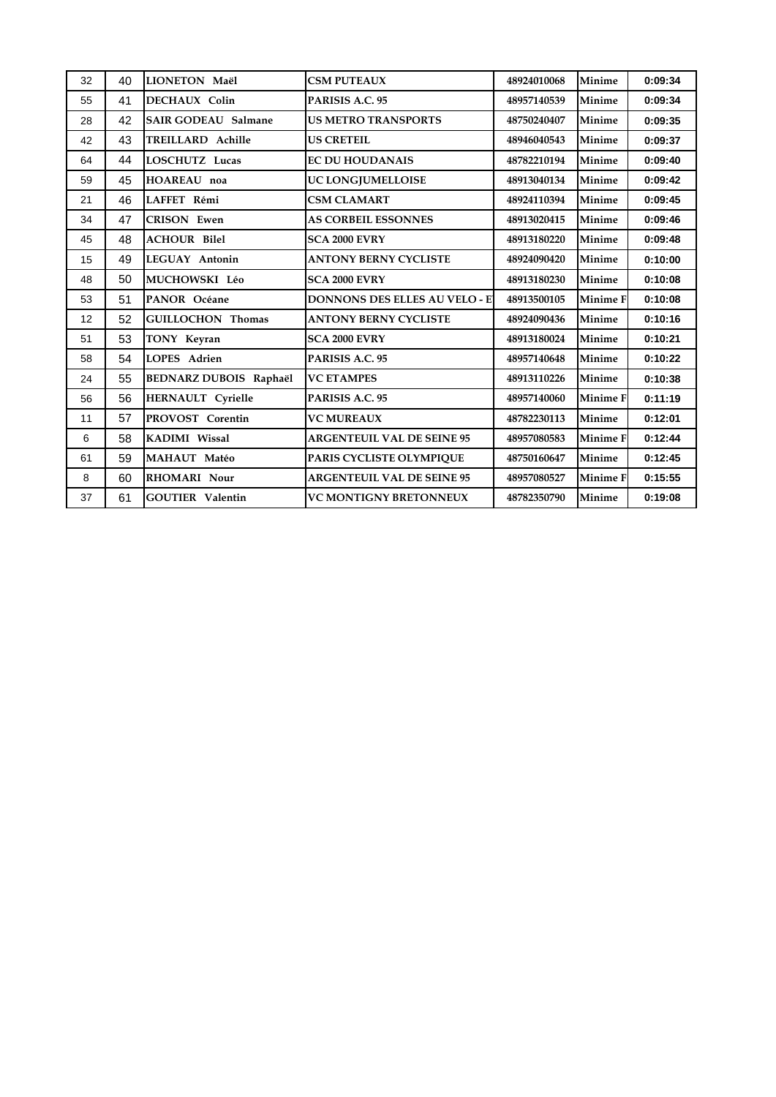| 32 | 40 | LIONETON Maël                 | <b>CSM PUTEAUX</b>                   | 48924010068 | Minime          | 0:09:34 |
|----|----|-------------------------------|--------------------------------------|-------------|-----------------|---------|
| 55 | 41 | <b>DECHAUX Colin</b>          | PARISIS A.C. 95                      | 48957140539 | Minime          | 0:09:34 |
| 28 | 42 | <b>SAIR GODEAU Salmane</b>    | <b>US METRO TRANSPORTS</b>           | 48750240407 | Minime          | 0:09:35 |
| 42 | 43 | TREILLARD Achille             | <b>US CRETEIL</b>                    | 48946040543 | Minime          | 0:09:37 |
| 64 | 44 | <b>LOSCHUTZ Lucas</b>         | <b>EC DU HOUDANAIS</b>               | 48782210194 | Minime          | 0:09:40 |
| 59 | 45 | HOAREAU noa                   | UC LONGJUMELLOISE                    | 48913040134 | Minime          | 0:09:42 |
| 21 | 46 | LAFFET Rémi                   | <b>CSM CLAMART</b>                   | 48924110394 | Minime          | 0:09:45 |
| 34 | 47 | <b>CRISON Ewen</b>            | <b>AS CORBEIL ESSONNES</b>           | 48913020415 | Minime          | 0:09:46 |
| 45 | 48 | <b>ACHOUR Bilel</b>           | SCA 2000 EVRY                        | 48913180220 | Minime          | 0:09:48 |
| 15 | 49 | LEGUAY Antonin                | <b>ANTONY BERNY CYCLISTE</b>         | 48924090420 | Minime          | 0:10:00 |
| 48 | 50 | MUCHOWSKI Léo                 | <b>SCA 2000 EVRY</b>                 | 48913180230 | Minime          | 0:10:08 |
| 53 | 51 | PANOR Océane                  | <b>DONNONS DES ELLES AU VELO - E</b> | 48913500105 | <b>Minime F</b> | 0:10:08 |
| 12 | 52 | <b>GUILLOCHON Thomas</b>      | <b>ANTONY BERNY CYCLISTE</b>         | 48924090436 | Minime          | 0:10:16 |
| 51 | 53 | TONY Keyran                   | <b>SCA 2000 EVRY</b>                 | 48913180024 | Minime          | 0:10:21 |
| 58 | 54 | LOPES Adrien                  | PARISIS A.C. 95                      | 48957140648 | Minime          | 0:10:22 |
| 24 | 55 | <b>BEDNARZ DUBOIS Raphaël</b> | <b>VC ETAMPES</b>                    | 48913110226 | Minime          | 0:10:38 |
| 56 | 56 | HERNAULT Cyrielle             | PARISIS A.C. 95                      | 48957140060 | Minime F        | 0:11:19 |
| 11 | 57 | PROVOST Corentin              | <b>VC MUREAUX</b>                    | 48782230113 | Minime          | 0:12:01 |
| 6  | 58 | KADIMI Wissal                 | <b>ARGENTEUIL VAL DE SEINE 95</b>    | 48957080583 | Minime F        | 0:12:44 |
| 61 | 59 | MAHAUT Matéo                  | PARIS CYCLISTE OLYMPIOUE             | 48750160647 | Minime          | 0:12:45 |
| 8  | 60 | <b>RHOMARI Nour</b>           | <b>ARGENTEUIL VAL DE SEINE 95</b>    | 48957080527 | <b>Minime F</b> | 0:15:55 |
| 37 | 61 | <b>GOUTIER</b> Valentin       | VC MONTIGNY BRETONNEUX               | 48782350790 | Minime          | 0:19:08 |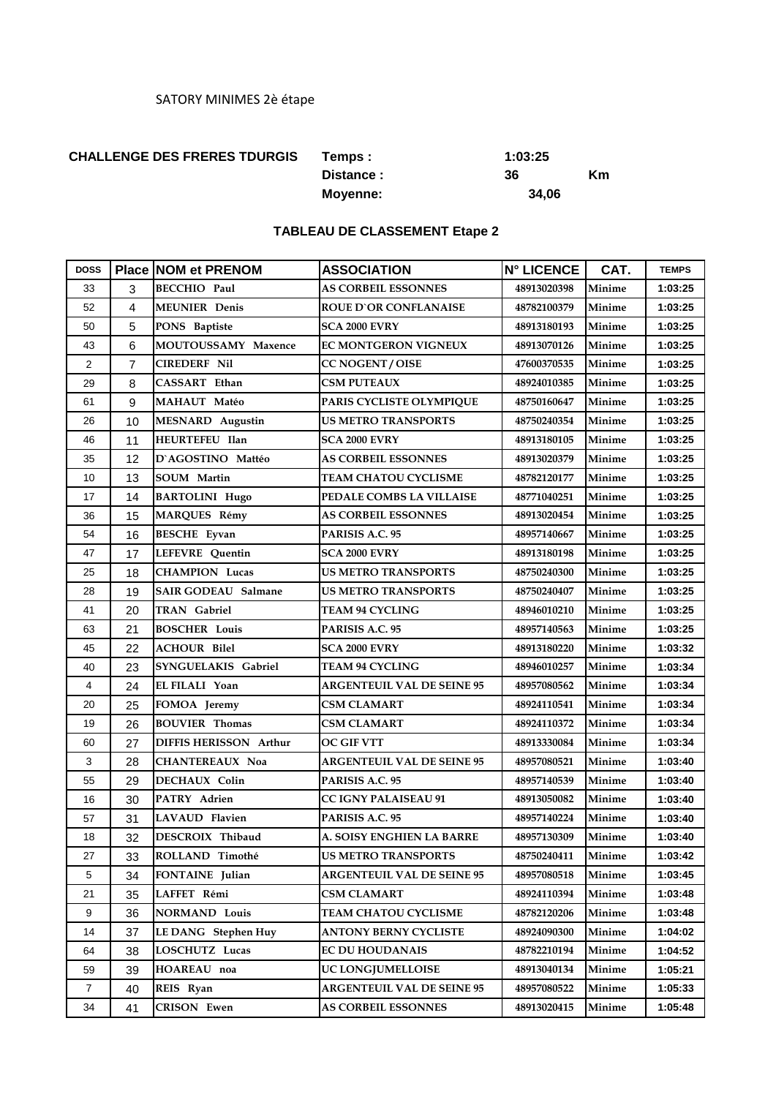### **CHALLENGE DES FRERES TDURGIS 1:03:25**

**Temps : Distance : 36 Km Moyenne: 34,06**

#### **TABLEAU DE CLASSEMENT Etape 2**

| <b>DOSS</b>    |                | <b>Place NOM et PRENOM</b>    | <b>ASSOCIATION</b>                         | <b>N° LICENCE</b> | CAT.          | <b>TEMPS</b> |
|----------------|----------------|-------------------------------|--------------------------------------------|-------------------|---------------|--------------|
| 33             | 3              | <b>BECCHIO Paul</b>           | <b>AS CORBEIL ESSONNES</b>                 | 48913020398       | Minime        | 1:03:25      |
| 52             | 4              | <b>MEUNIER</b> Denis          | <b>ROUE D'OR CONFLANAISE</b>               | 48782100379       | Minime        | 1:03:25      |
| 50             | 5              | PONS Baptiste                 | <b>SCA 2000 EVRY</b>                       | 48913180193       | Minime        | 1:03:25      |
| 43             | 6              | MOUTOUSSAMY Maxence           | <b>EC MONTGERON VIGNEUX</b><br>48913070126 |                   | Minime        | 1:03:25      |
| 2              | $\overline{7}$ | <b>CIREDERF Nil</b>           | <b>CC NOGENT / OISE</b>                    | 47600370535       | Minime        | 1:03:25      |
| 29             | 8              | CASSART Ethan                 | <b>CSM PUTEAUX</b>                         | 48924010385       | Minime        | 1:03:25      |
| 61             | 9              | MAHAUT Matéo                  | PARIS CYCLISTE OLYMPIQUE                   | 48750160647       | Minime        | 1:03:25      |
| 26             | 10             | <b>MESNARD</b> Augustin       | US METRO TRANSPORTS                        | 48750240354       | Minime        | 1:03:25      |
| 46             | 11             | <b>HEURTEFEU Ilan</b>         | <b>SCA 2000 EVRY</b>                       | 48913180105       | Minime        | 1:03:25      |
| 35             | 12             | D'AGOSTINO Mattéo             | <b>AS CORBEIL ESSONNES</b>                 | 48913020379       | Minime        | 1:03:25      |
| 10             | 13             | <b>SOUM</b> Martin            | TEAM CHATOU CYCLISME                       | 48782120177       | Minime        | 1:03:25      |
| 17             | 14             | <b>BARTOLINI Hugo</b>         | PEDALE COMBS LA VILLAISE                   | 48771040251       | Minime        | 1:03:25      |
| 36             | 15             | <b>MARQUES Rémy</b>           | <b>AS CORBEIL ESSONNES</b>                 | 48913020454       | Minime        | 1:03:25      |
| 54             | 16             | <b>BESCHE Evvan</b>           | PARISIS A.C. 95                            | 48957140667       | Minime        | 1:03:25      |
| 47             | 17             | LEFEVRE Quentin               | <b>SCA 2000 EVRY</b>                       | 48913180198       | Minime        | 1:03:25      |
| 25             | 18             | <b>CHAMPION Lucas</b>         | <b>US METRO TRANSPORTS</b>                 | 48750240300       | Minime        | 1:03:25      |
| 28             | 19             | <b>SAIR GODEAU Salmane</b>    | <b>US METRO TRANSPORTS</b>                 | 48750240407       | Minime        | 1:03:25      |
| 41             | 20             | <b>TRAN</b> Gabriel           | TEAM 94 CYCLING                            | 48946010210       | Minime        | 1:03:25      |
| 63             | 21             | <b>BOSCHER Louis</b>          | PARISIS A.C. 95                            | 48957140563       | Minime        | 1:03:25      |
| 45             | 22             | <b>ACHOUR Bilel</b>           | <b>SCA 2000 EVRY</b>                       | 48913180220       | Minime        | 1:03:32      |
| 40             | 23             | SYNGUELAKIS Gabriel           | TEAM 94 CYCLING                            | 48946010257       | Minime        | 1:03:34      |
| 4              | 24             | EL FILALI Yoan                | <b>ARGENTEUIL VAL DE SEINE 95</b>          | 48957080562       | Minime        | 1:03:34      |
| 20             | 25             | FOMOA Jeremy                  | CSM CLAMART                                | 48924110541       | Minime        | 1:03:34      |
| 19             | 26             | <b>BOUVIER Thomas</b>         | CSM CLAMART                                | 48924110372       | Minime        | 1:03:34      |
| 60             | 27             | <b>DIFFIS HERISSON Arthur</b> | OC GIF VTT                                 | 48913330084       | Minime        | 1:03:34      |
| 3              | 28             | <b>CHANTEREAUX Noa</b>        | <b>ARGENTEUIL VAL DE SEINE 95</b>          | 48957080521       | Minime        | 1:03:40      |
| 55             | 29             | <b>DECHAUX Colin</b>          | PARISIS A.C. 95                            | 48957140539       | Minime        | 1:03:40      |
| 16             | 30             | PATRY Adrien                  | <b>CC IGNY PALAISEAU 91</b>                | 48913050082       | Minime        | 1:03:40      |
| 57             | 31             | <b>LAVAUD Flavien</b>         | PARISIS A.C. 95                            | 48957140224       | Minime        | 1:03:40      |
| 18             | 32             | DESCROIX Thibaud              | A. SOISY ENGHIEN LA BARRE                  | 48957130309       | Minime        | 1:03:40      |
| 27             | 33             | ROLLAND Timothé               | <b>US METRO TRANSPORTS</b>                 | 48750240411       | Minime        | 1:03:42      |
| 5              | 34             | FONTAINE Julian               | <b>ARGENTEUIL VAL DE SEINE 95</b>          | 48957080518       | Minime        | 1:03:45      |
| 21             | 35             | LAFFET Rémi                   | <b>CSM CLAMART</b>                         | 48924110394       | <b>Minime</b> | 1:03:48      |
| 9              | 36             | <b>NORMAND Louis</b>          | <b>TEAM CHATOU CYCLISME</b>                | 48782120206       | Minime        | 1:03:48      |
| 14             | 37             | <b>LE DANG</b> Stephen Huy    | <b>ANTONY BERNY CYCLISTE</b>               | 48924090300       | Minime        | 1:04:02      |
| 64             | 38             | <b>LOSCHUTZ Lucas</b>         | <b>EC DU HOUDANAIS</b>                     | 48782210194       | Minime        | 1:04:52      |
| 59             | 39             | HOAREAU noa                   | UC LONGJUMELLOISE                          | 48913040134       | Minime        | 1:05:21      |
| $\overline{7}$ | 40             | REIS Ryan                     | <b>ARGENTEUIL VAL DE SEINE 95</b>          | 48957080522       | Minime        | 1:05:33      |
| 34             | 41             | <b>CRISON Ewen</b>            | <b>AS CORBEIL ESSONNES</b>                 | 48913020415       | Minime        | 1:05:48      |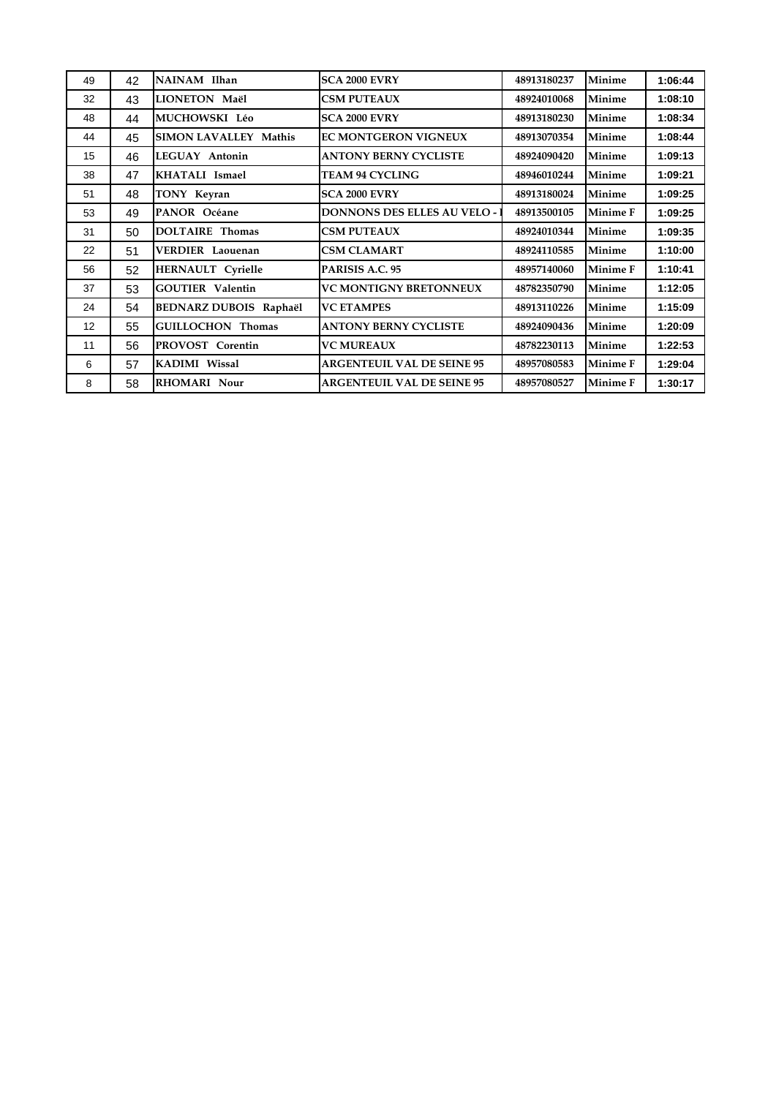| 49                | 42 | NAINAM Ilhan                  | <b>SCA 2000 EVRY</b>                 | 48913180237 | <b>Minime</b>   | 1:06:44 |
|-------------------|----|-------------------------------|--------------------------------------|-------------|-----------------|---------|
| 32                | 43 | LIONETON Maël                 | <b>CSM PUTEAUX</b>                   | 48924010068 | <b>Minime</b>   | 1:08:10 |
| 48                | 44 | MUCHOWSKI Léo                 | <b>SCA 2000 EVRY</b>                 | 48913180230 | Minime          | 1:08:34 |
| 44                | 45 | <b>SIMON LAVALLEY Mathis</b>  | <b>EC MONTGERON VIGNEUX</b>          | 48913070354 | <b>Minime</b>   | 1:08:44 |
| 15                | 46 | LEGUAY Antonin                | <b>ANTONY BERNY CYCLISTE</b>         | 48924090420 | <b>Minime</b>   | 1:09:13 |
| 38                | 47 | KHATALI Ismael                | <b>TEAM 94 CYCLING</b>               | 48946010244 | Minime          | 1:09:21 |
| 51                | 48 | TONY Keyran                   | <b>SCA 2000 EVRY</b>                 | 48913180024 | <b>Minime</b>   | 1:09:25 |
| 53                | 49 | PANOR Océane                  | <b>DONNONS DES ELLES AU VELO - 1</b> | 48913500105 | <b>Minime F</b> | 1:09:25 |
| 31                | 50 | <b>DOLTAIRE Thomas</b>        | <b>CSM PUTEAUX</b>                   | 48924010344 | <b>Minime</b>   | 1:09:35 |
| 22                | 51 | <b>VERDIER Laouenan</b>       | <b>CSM CLAMART</b>                   | 48924110585 | Minime          | 1:10:00 |
| 56                | 52 | <b>HERNAULT Cyrielle</b>      | PARISIS A.C. 95                      | 48957140060 | <b>Minime F</b> | 1:10:41 |
| 37                | 53 | <b>GOUTIER Valentin</b>       | <b>VC MONTIGNY BRETONNEUX</b>        | 48782350790 | Minime          | 1:12:05 |
| 24                | 54 | <b>BEDNARZ DUBOIS Raphaël</b> | <b>VC ETAMPES</b>                    | 48913110226 | Minime          | 1:15:09 |
| $12 \overline{ }$ | 55 | <b>GUILLOCHON Thomas</b>      | <b>ANTONY BERNY CYCLISTE</b>         | 48924090436 | <b>Minime</b>   | 1:20:09 |
| 11                | 56 | PROVOST Corentin              | <b>VC MUREAUX</b>                    | 48782230113 | <b>Minime</b>   | 1:22:53 |
| 6                 | 57 | <b>KADIMI</b> Wissal          | <b>ARGENTEUIL VAL DE SEINE 95</b>    | 48957080583 | <b>Minime F</b> | 1:29:04 |
| 8                 | 58 | <b>RHOMARI Nour</b>           | <b>ARGENTEUIL VAL DE SEINE 95</b>    | 48957080527 | <b>Minime F</b> | 1:30:17 |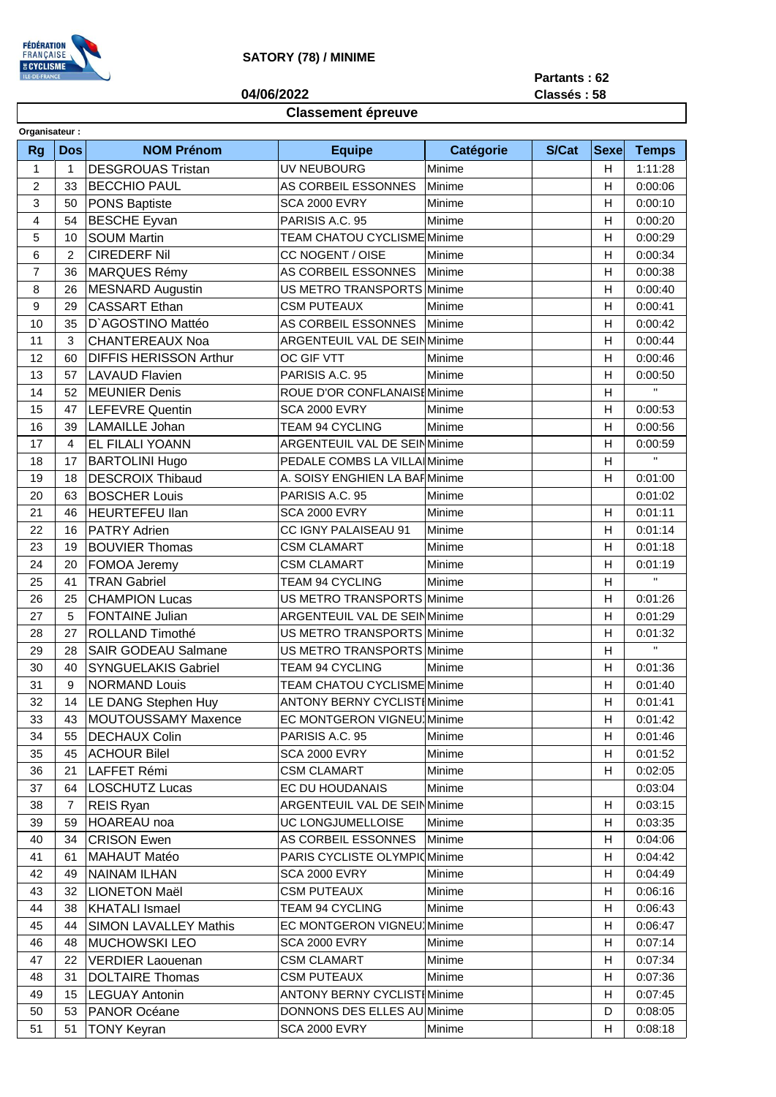

**04/06/2022**

# **Partants : 62**

**Classés : 58**

# **Classement épreuve**

| Organisateur:  |                         |                               |                                     |                  |       |                |              |
|----------------|-------------------------|-------------------------------|-------------------------------------|------------------|-------|----------------|--------------|
| <b>Rg</b>      | <b>Dos</b>              | <b>NOM Prénom</b>             | <b>Equipe</b>                       | <b>Catégorie</b> | S/Cat | <b>Sexe</b>    | <b>Temps</b> |
| 1              | 1                       | <b>DESGROUAS Tristan</b>      | UV NEUBOURG                         | Minime           |       | H              | 1:11:28      |
| $\overline{c}$ | 33                      | <b>BECCHIO PAUL</b>           | AS CORBEIL ESSONNES                 | Minime           |       | H              | 0:00:06      |
| 3              | 50                      | <b>PONS Baptiste</b>          | <b>SCA 2000 EVRY</b>                | Minime           |       | Н              | 0:00:10      |
| 4              | 54                      | <b>BESCHE Eyvan</b>           | PARISIS A.C. 95                     | Minime           |       | H              | 0:00:20      |
| 5              | 10                      | <b>SOUM Martin</b>            | TEAM CHATOU CYCLISME Minime         |                  |       | H              | 0:00:29      |
| 6              | $\overline{c}$          | <b>CIREDERF Nil</b>           | CC NOGENT / OISE                    | Minime           |       | Н              | 0:00:34      |
| $\overline{7}$ | 36                      | <b>MARQUES Rémy</b>           | AS CORBEIL ESSONNES                 | Minime           |       | н              | 0:00:38      |
| 8              | 26                      | <b>MESNARD Augustin</b>       | US METRO TRANSPORTS                 | Minime           |       | H              | 0:00:40      |
| 9              | 29                      | <b>CASSART Ethan</b>          | <b>CSM PUTEAUX</b>                  | Minime           |       | H              | 0:00:41      |
| 10             | 35                      | D'AGOSTINO Mattéo             | AS CORBEIL ESSONNES                 | Minime           |       | H              | 0:00:42      |
| 11             | 3                       | <b>CHANTEREAUX Noa</b>        | ARGENTEUIL VAL DE SEIN Minime       |                  |       | H              | 0:00:44      |
| 12             | 60                      | <b>DIFFIS HERISSON Arthur</b> | OC GIF VTT                          | Minime           |       | н              | 0:00:46      |
| 13             | 57                      | <b>LAVAUD Flavien</b>         | PARISIS A.C. 95                     | Minime           |       | H              | 0:00:50      |
| 14             | 52                      | <b>MEUNIER Denis</b>          | ROUE D'OR CONFLANAISEMinime         |                  |       | H              | Ĥ.           |
| 15             | 47                      | <b>LEFEVRE Quentin</b>        | <b>SCA 2000 EVRY</b>                | Minime           |       | Н              | 0:00:53      |
| 16             | 39                      | <b>LAMAILLE Johan</b>         | TEAM 94 CYCLING                     | Minime           |       | Н              | 0:00:56      |
| 17             | $\overline{\mathbf{4}}$ | EL FILALI YOANN               | <b>ARGENTEUIL VAL DE SEINMinime</b> |                  |       | н              | 0:00:59      |
| 18             | 17                      | <b>BARTOLINI Hugo</b>         | PEDALE COMBS LA VILLA Minime        |                  |       | H              | $\mathbf{H}$ |
| 19             | 18                      | <b>DESCROIX Thibaud</b>       | A. SOISY ENGHIEN LA BARMinime       |                  |       | H              | 0:01:00      |
| 20             | 63                      | <b>BOSCHER Louis</b>          | PARISIS A.C. 95                     | Minime           |       |                | 0:01:02      |
| 21             | 46                      | <b>HEURTEFEU llan</b>         | <b>SCA 2000 EVRY</b>                | Minime           |       | H              | 0:01:11      |
| 22             | 16                      | <b>PATRY Adrien</b>           | CC IGNY PALAISEAU 91                | Minime           |       | H              | 0:01:14      |
| 23             | 19                      | <b>BOUVIER Thomas</b>         | <b>CSM CLAMART</b>                  | Minime           |       | H              | 0:01:18      |
| 24             | 20                      | FOMOA Jeremy                  | <b>CSM CLAMART</b>                  | Minime           |       | H              | 0:01:19      |
| 25             | 41                      | <b>TRAN Gabriel</b>           | TEAM 94 CYCLING                     | Minime           |       | Н              | Ĥ.           |
| 26             | 25                      | <b>CHAMPION Lucas</b>         | US METRO TRANSPORTS Minime          |                  |       | Н              | 0:01:26      |
| 27             | 5                       | <b>FONTAINE Julian</b>        | ARGENTEUIL VAL DE SEINMinime        |                  |       | н              | 0:01:29      |
| 28             | 27                      | ROLLAND Timothé               | US METRO TRANSPORTS Minime          |                  |       | H              | 0:01:32      |
| 29             | 28                      | <b>SAIR GODEAU Salmane</b>    | US METRO TRANSPORTS Minime          |                  |       | H              | Ĥ.           |
| 30             | 40                      | <b>SYNGUELAKIS Gabriel</b>    | TEAM 94 CYCLING                     | Minime           |       | H              | 0:01:36      |
| 31             | 9                       | <b>NORMAND Louis</b>          | <b>TEAM CHATOU CYCLISME Minime</b>  |                  |       | $\overline{H}$ | 0:01:40      |
| 32             | 14                      | <b>LE DANG Stephen Huy</b>    | <b>ANTONY BERNY CYCLISTIMinime</b>  |                  |       | H              | 0:01:41      |
| 33             | 43                      | MOUTOUSSAMY Maxence           | EC MONTGERON VIGNEU Minime          |                  |       | H.             | 0:01:42      |
| 34             | 55                      | <b>DECHAUX Colin</b>          | PARISIS A.C. 95                     | Minime           |       | H.             | 0:01:46      |
| 35             | 45                      | <b>ACHOUR Bilel</b>           | <b>SCA 2000 EVRY</b>                | Minime           |       | н              | 0:01:52      |
| 36             | 21                      | LAFFET Rémi                   | <b>CSM CLAMART</b>                  | Minime           |       | н              | 0:02:05      |
| 37             | 64                      | <b>LOSCHUTZ Lucas</b>         | EC DU HOUDANAIS                     | Minime           |       |                | 0:03:04      |
| 38             | $\overline{7}$          | <b>REIS Ryan</b>              | ARGENTEUIL VAL DE SEINMinime        |                  |       | н              | 0:03:15      |
| 39             | 59                      | HOAREAU noa                   | UC LONGJUMELLOISE                   | Minime           |       | н              | 0:03:35      |
| 40             | 34                      | <b>CRISON Ewen</b>            | AS CORBEIL ESSONNES                 | Minime           |       | н              | 0:04:06      |
| 41             | 61                      | MAHAUT Matéo                  | PARIS CYCLISTE OLYMPIOMinime        |                  |       | н              | 0:04:42      |
| 42             | 49                      | <b>NAINAM ILHAN</b>           | <b>SCA 2000 EVRY</b>                | Minime           |       | н              | 0:04:49      |
| 43             | 32                      | <b>LIONETON Maël</b>          | <b>CSM PUTEAUX</b>                  | Minime           |       | H              | 0.06:16      |
| 44             | 38                      | <b>KHATALI Ismael</b>         | TEAM 94 CYCLING                     | Minime           |       | н              | 0:06:43      |
| 45             | 44                      | <b>SIMON LAVALLEY Mathis</b>  | EC MONTGERON VIGNEU Minime          |                  |       | н              |              |
|                |                         |                               |                                     |                  |       |                | 0:06:47      |
| 46             | 48                      | <b>MUCHOWSKI LEO</b>          | <b>SCA 2000 EVRY</b>                | Minime           |       | н              | 0:07:14      |
| 47             | 22                      | <b>VERDIER Laouenan</b>       | <b>CSM CLAMART</b>                  | Minime           |       | н              | 0:07:34      |
| 48             | 31                      | <b>DOLTAIRE Thomas</b>        | <b>CSM PUTEAUX</b>                  | Minime           |       | н              | 0:07:36      |
| 49             | 15                      | LEGUAY Antonin                | <b>ANTONY BERNY CYCLISTI Minime</b> |                  |       | н              | 0:07:45      |
| 50             | 53                      | PANOR Océane                  | DONNONS DES ELLES AU Minime         |                  |       | D              | 0:08:05      |
| 51             | 51                      | <b>TONY Keyran</b>            | SCA 2000 EVRY                       | Minime           |       | н              | 0:08:18      |